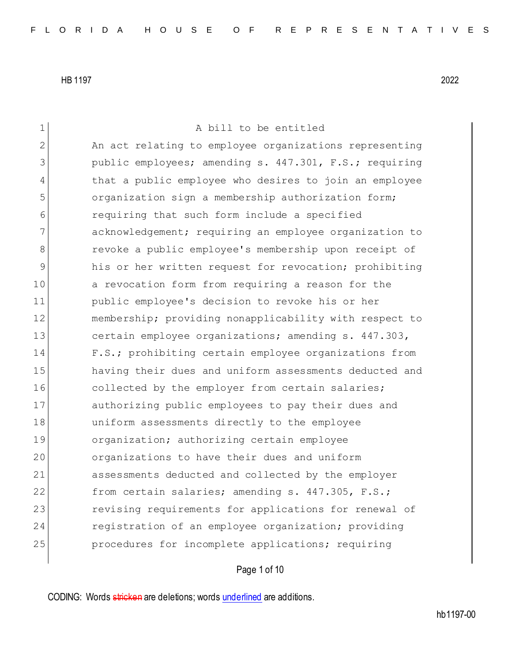1 A bill to be entitled 2 An act relating to employee organizations representing 3 **public employees; amending s. 447.301, F.S.; requiring** 4 that a public employee who desires to join an employee 5 organization sign a membership authorization form; 6 requiring that such form include a specified 7 acknowledgement; requiring an employee organization to 8 **8** revoke a public employee's membership upon receipt of 9 his or her written request for revocation; prohibiting 10 a revocation form from requiring a reason for the 11 public employee's decision to revoke his or her 12 membership; providing nonapplicability with respect to 13 certain employee organizations; amending s. 447.303, 14 F.S.; prohibiting certain employee organizations from 15 having their dues and uniform assessments deducted and 16 collected by the employer from certain salaries; 17 authorizing public employees to pay their dues and 18 uniform assessments directly to the employee 19 organization; authorizing certain employee 20 organizations to have their dues and uniform 21 assessments deducted and collected by the employer 22 from certain salaries; amending s. 447.305, F.S.; 23 revising requirements for applications for renewal of 24 registration of an employee organization; providing 25 procedures for incomplete applications; requiring

Page 1 of 10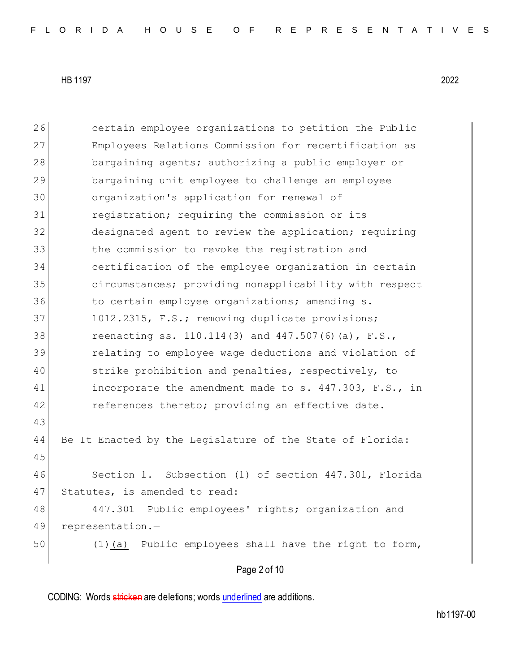26 certain employee organizations to petition the Public 27 Employees Relations Commission for recertification as 28 bargaining agents; authorizing a public employer or 29 bargaining unit employee to challenge an employee 30 organization's application for renewal of 31 registration; requiring the commission or its 32 designated agent to review the application; requiring 33 the commission to revoke the registration and 34 certification of the employee organization in certain 35 circumstances; providing nonapplicability with respect 36 to certain employee organizations; amending s. 37 1012.2315, F.S.; removing duplicate provisions; 38 reenacting ss. 110.114(3) and 447.507(6)(a), F.S., 39 relating to employee wage deductions and violation of 40 strike prohibition and penalties, respectively, to 41 incorporate the amendment made to s. 447.303, F.S., in 42 references thereto; providing an effective date. 43 44 Be It Enacted by the Legislature of the State of Florida: 45 46 Section 1. Subsection (1) of section 447.301, Florida 47 Statutes, is amended to read: 48 447.301 Public employees' rights; organization and 49 representation.— 50 (1)(a) Public employees shall have the right to form,

Page 2 of 10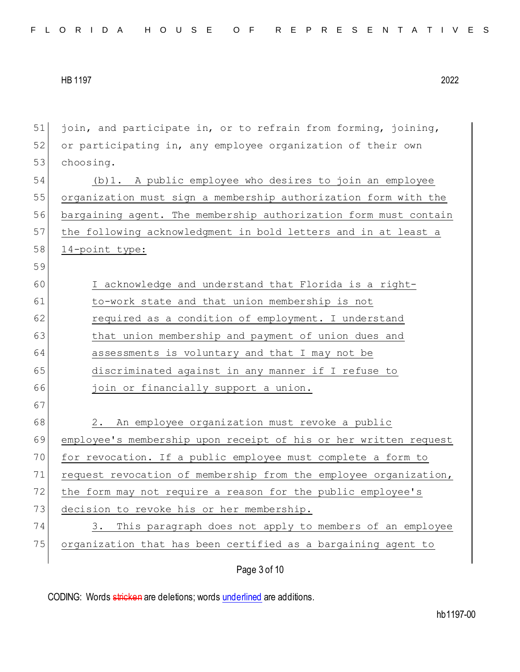| 51 | join, and participate in, or to refrain from forming, joining,   |
|----|------------------------------------------------------------------|
| 52 | or participating in, any employee organization of their own      |
| 53 | choosing.                                                        |
| 54 | (b)1. A public employee who desires to join an employee          |
| 55 | organization must sign a membership authorization form with the  |
| 56 | bargaining agent. The membership authorization form must contain |
| 57 | the following acknowledgment in bold letters and in at least a   |
| 58 | 14-point type:                                                   |
| 59 |                                                                  |
| 60 | I acknowledge and understand that Florida is a right-            |
| 61 | to-work state and that union membership is not                   |
| 62 | required as a condition of employment. I understand              |
| 63 | that union membership and payment of union dues and              |
| 64 | assessments is voluntary and that I may not be                   |
| 65 | discriminated against in any manner if I refuse to               |
| 66 | join or financially support a union.                             |
| 67 |                                                                  |
| 68 | 2. An employee organization must revoke a public                 |
| 69 | employee's membership upon receipt of his or her written request |
| 70 | for revocation. If a public employee must complete a form to     |
| 71 | request revocation of membership from the employee organization, |
| 72 | the form may not require a reason for the public employee's      |
| 73 | decision to revoke his or her membership.                        |
| 74 | This paragraph does not apply to members of an employee<br>3.    |
| 75 | organization that has been certified as a bargaining agent to    |
|    |                                                                  |

Page 3 of 10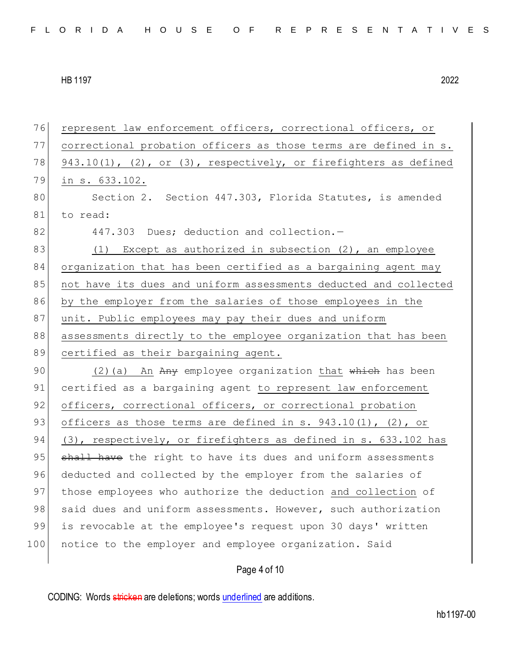76 represent law enforcement officers, correctional officers, or 77 correctional probation officers as those terms are defined in s. 78 943.10(1), (2), or (3), respectively, or firefighters as defined 79 in s. 633.102. 80 Section 2. Section 447.303, Florida Statutes, is amended 81 to read: 82 447.303 Dues; deduction and collection.-83 (1) Except as authorized in subsection (2), an employee 84 organization that has been certified as a bargaining agent may 85 not have its dues and uniform assessments deducted and collected 86 by the employer from the salaries of those employees in the 87 unit. Public employees may pay their dues and uniform 88 assessments directly to the employee organization that has been 89 certified as their bargaining agent. 90 (2)(a) An Any employee organization that which has been 91 certified as a bargaining agent to represent law enforcement 92 officers, correctional officers, or correctional probation 93 officers as those terms are defined in s.  $943.10(1)$ , (2), or 94 (3), respectively, or firefighters as defined in s. 633.102 has 95 shall have the right to have its dues and uniform assessments 96 deducted and collected by the employer from the salaries of 97 those employees who authorize the deduction and collection of 98 said dues and uniform assessments. However, such authorization 99 is revocable at the employee's request upon 30 days' written 100 notice to the employer and employee organization. Said

Page 4 of 10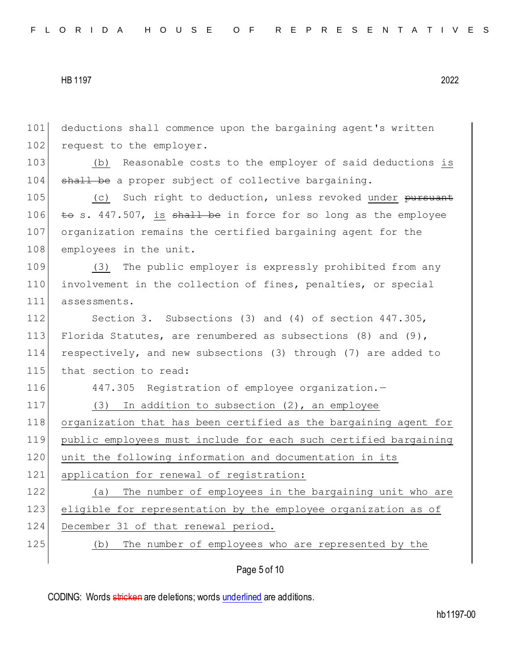101 deductions shall commence upon the bargaining agent's written 102 request to the employer. 103 (b) Reasonable costs to the employer of said deductions is 104 shall be a proper subject of collective bargaining. 105 (c) Such right to deduction, unless revoked under pursuant 106  $\pm$ o s. 447.507, is shall be in force for so long as the employee 107 organization remains the certified bargaining agent for the 108 employees in the unit. 109 (3) The public employer is expressly prohibited from any 110 involvement in the collection of fines, penalties, or special 111 assessments. 112 Section 3. Subsections (3) and (4) of section 447.305, 113 Florida Statutes, are renumbered as subsections (8) and (9), 114 respectively, and new subsections (3) through (7) are added to 115 that section to read: 116 447.305 Registration of employee organization.-117 (3) In addition to subsection (2), an employee 118 organization that has been certified as the bargaining agent for 119 public employees must include for each such certified bargaining 120 unit the following information and documentation in its 121 application for renewal of registration: 122 (a) The number of employees in the bargaining unit who are 123 eligible for representation by the employee organization as of 124 December 31 of that renewal period. 125 (b) The number of employees who are represented by the

Page 5 of 10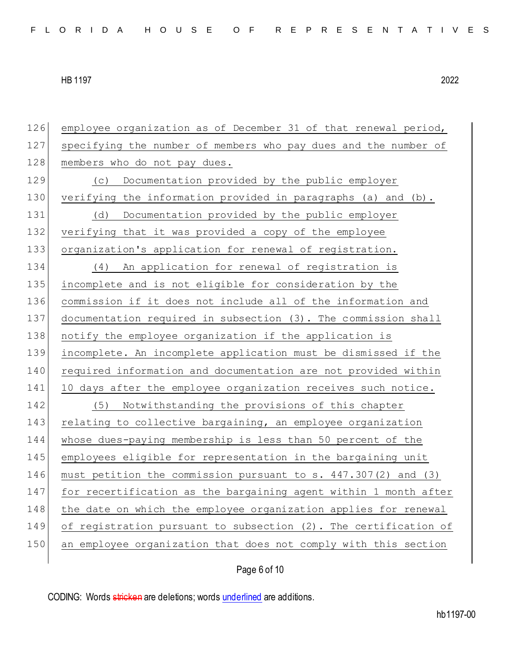employee organization as of December 31 of that renewal period, specifying the number of members who pay dues and the number of 128 members who do not pay dues. (c) Documentation provided by the public employer verifying the information provided in paragraphs (a) and (b). (d) Documentation provided by the public employer verifying that it was provided a copy of the employee organization's application for renewal of registration. (4) An application for renewal of registration is incomplete and is not eligible for consideration by the commission if it does not include all of the information and documentation required in subsection (3). The commission shall 138 notify the employee organization if the application is incomplete. An incomplete application must be dismissed if the required information and documentation are not provided within 141 10 days after the employee organization receives such notice. 142 (5) Notwithstanding the provisions of this chapter 143 relating to collective bargaining, an employee organization whose dues-paying membership is less than 50 percent of the employees eligible for representation in the bargaining unit must petition the commission pursuant to s. 447.307(2) and (3) for recertification as the bargaining agent within 1 month after 148 the date on which the employee organization applies for renewal of registration pursuant to subsection (2). The certification of an employee organization that does not comply with this section

Page 6 of 10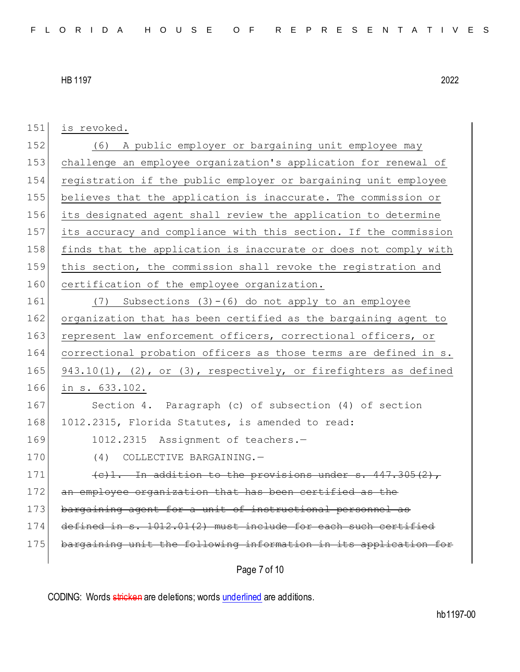| 151 | is revoked.                                                         |
|-----|---------------------------------------------------------------------|
| 152 | (6) A public employer or bargaining unit employee may               |
| 153 | challenge an employee organization's application for renewal of     |
| 154 | registration if the public employer or bargaining unit employee     |
| 155 | believes that the application is inaccurate. The commission or      |
| 156 | its designated agent shall review the application to determine      |
| 157 | its accuracy and compliance with this section. If the commission    |
| 158 | finds that the application is inaccurate or does not comply with    |
| 159 | this section, the commission shall revoke the registration and      |
| 160 | certification of the employee organization.                         |
| 161 | $(7)$ Subsections $(3) - (6)$ do not apply to an employee           |
| 162 | organization that has been certified as the bargaining agent to     |
| 163 | represent law enforcement officers, correctional officers, or       |
| 164 | correctional probation officers as those terms are defined in s.    |
| 165 | $943.10(1)$ , (2), or (3), respectively, or firefighters as defined |
| 166 | in s. 633.102.                                                      |
| 167 | Section 4. Paragraph (c) of subsection (4) of section               |
| 168 | 1012.2315, Florida Statutes, is amended to read:                    |
| 169 | 1012.2315 Assignment of teachers.-                                  |
| 170 | (4) COLLECTIVE BARGAINING. -                                        |
| 171 | (c)1. In addition to the provisions under s. 447.305(2),            |
| 172 | an employee organization that has been certified as the             |
| 173 | bargaining agent for a unit of instructional personnel as           |
| 174 | defined in s. 1012.01(2) must include for each such certified       |
| 175 | bargaining unit the following information in its application for    |
|     |                                                                     |

Page 7 of 10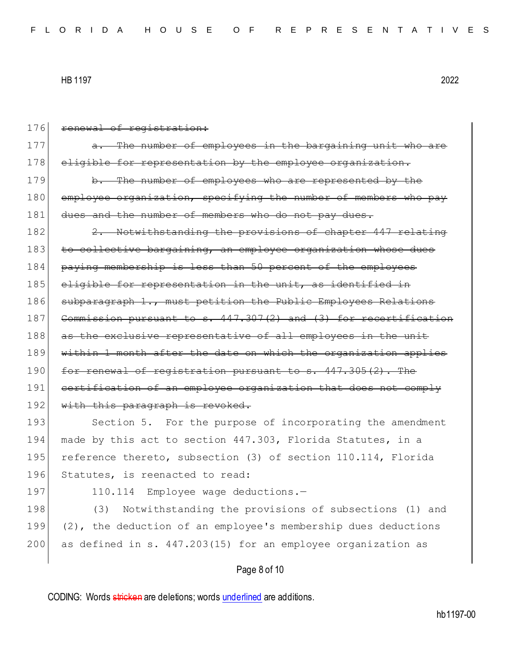| 176 | renewal of registration:                                                |
|-----|-------------------------------------------------------------------------|
| 177 | The number of employees in the bargaining unit who are<br><del>a.</del> |
| 178 | eligible for representation by the employee organization.               |
| 179 | b. The number of employees who are represented by the                   |
| 180 | employee organization, specifying the number of members who pay         |
| 181 | dues and the number of members who do not pay dues.                     |
| 182 | 2. Notwithstanding the provisions of chapter 447 relating               |
| 183 | to collective bargaining, an employee organization whose dues           |
| 184 | paying membership is less than 50 percent of the employees              |
| 185 | eligible for representation in the unit, as identified in               |
| 186 | subparagraph 1., must petition the Public Employees Relations           |
| 187 | Commission pursuant to s. 447.307(2) and (3) for recertification        |
| 188 | as the exclusive representative of all employees in the unit            |
| 189 | within 1 month after the date on which the organization applies         |
| 190 | for renewal of registration pursuant to s. 447.305(2). The              |
| 191 | certification of an employee organization that does not comply          |
| 192 | with this paragraph is revoked.                                         |
| 193 | Section 5. For the purpose of incorporating the amendment               |
| 194 | made by this act to section 447.303, Florida Statutes, in a             |
| 195 | reference thereto, subsection (3) of section 110.114, Florida           |
| 196 | Statutes, is reenacted to read:                                         |
| 197 | Employee wage deductions.-<br>110.114                                   |
| 198 | Notwithstanding the provisions of subsections (1) and<br>(3)            |
| 199 | (2), the deduction of an employee's membership dues deductions          |
| 200 | as defined in s. 447.203(15) for an employee organization as            |
|     | Page 8 of 10                                                            |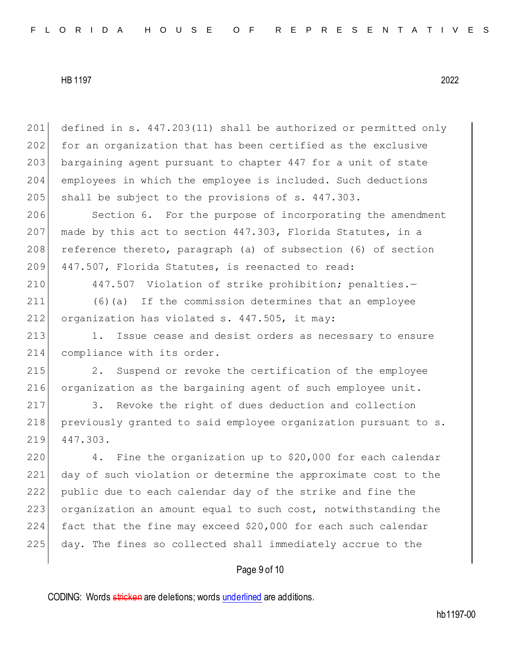201 defined in s. 447.203(11) shall be authorized or permitted only 202 for an organization that has been certified as the exclusive 203 bargaining agent pursuant to chapter 447 for a unit of state 204 employees in which the employee is included. Such deductions 205 shall be subject to the provisions of s.  $447.303$ .

206 Section 6. For the purpose of incorporating the amendment 207 made by this act to section  $447.303$ , Florida Statutes, in a  $208$  reference thereto, paragraph (a) of subsection (6) of section 209 447.507, Florida Statutes, is reenacted to read:

210 447.507 Violation of strike prohibition; penalties.—

211 (6)(a) If the commission determines that an employee 212 organization has violated s. 447.505, it may:

213 1. Issue cease and desist orders as necessary to ensure 214 compliance with its order.

215 2. Suspend or revoke the certification of the employee 216 organization as the bargaining agent of such employee unit.

217 3. Revoke the right of dues deduction and collection 218 previously granted to said employee organization pursuant to s. 219 447.303.

220 4. Fine the organization up to \$20,000 for each calendar day of such violation or determine the approximate cost to the public due to each calendar day of the strike and fine the 223 organization an amount equal to such cost, notwithstanding the fact that the fine may exceed \$20,000 for each such calendar day. The fines so collected shall immediately accrue to the

## Page 9 of 10